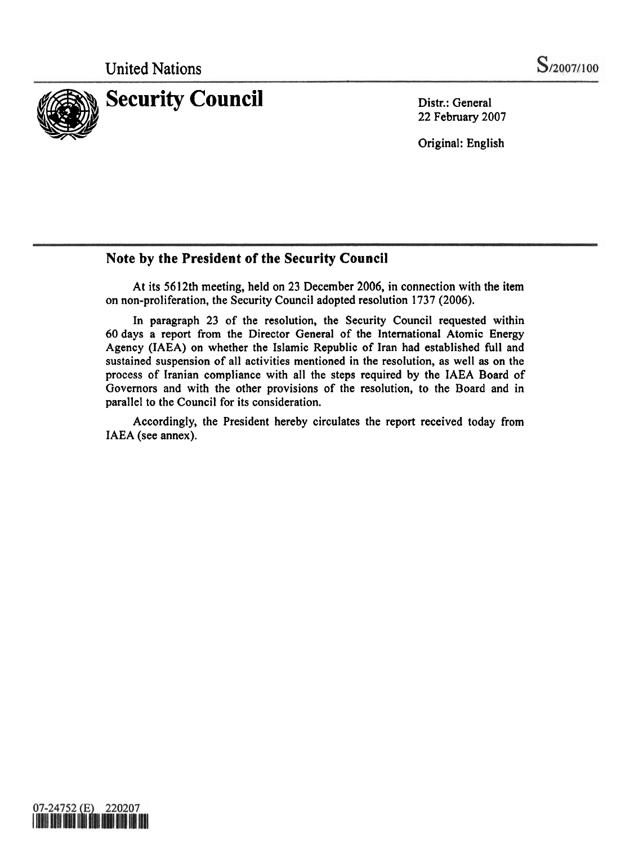

Distr.: General 22 February 2007

Original: English

### **Note by the President of the Security Council**

At its 5612th meeting, held on 23 December 2006, in connection with the item on non-proliferation, the Security Council adopted resolution **1737** (2006).

In paragraph **23** of the resolution, the Security Council requested within 60 days a report from the Director General of the International Atomic Energy Agency (IAEA) on whether the Islamic Republic of Iran had established full and sustained suspension of all activities mentioned in the resolution, as well as on the process of Iranian compliance with all the steps required by the IAEA Board of Governors and with the other provisions of the resolution, to the Board and in parallel to the Council for its consideration.

Accordingly, the President hereby circulates the report received today from IAEA (see annex).

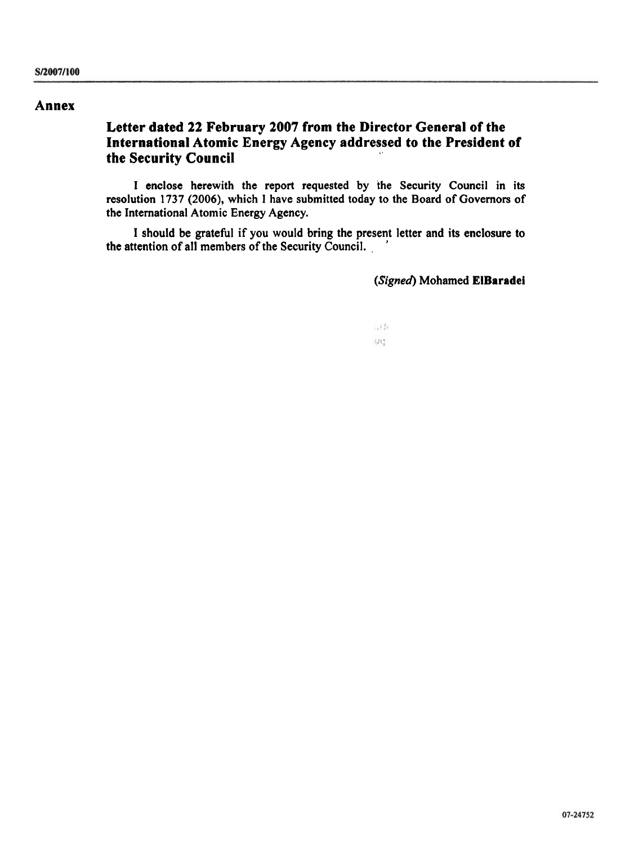#### **Annex**

### **Letter dated 22 February 2007 from the Director General of the International Atomic Energy Agency addressed to the President of the Security Council**

I enclose herewith the report requested by the Security Council in its resolution 1737 **(2006),** which **1** have submitted today to the Board of Governors of the International Atomic Energy Agency.

I should be grateful if you would bring the present letter and its enclosure to the attention of all members of the Security Council.

(Signed) Mohamed **ElBaradei** 

 $-538$ w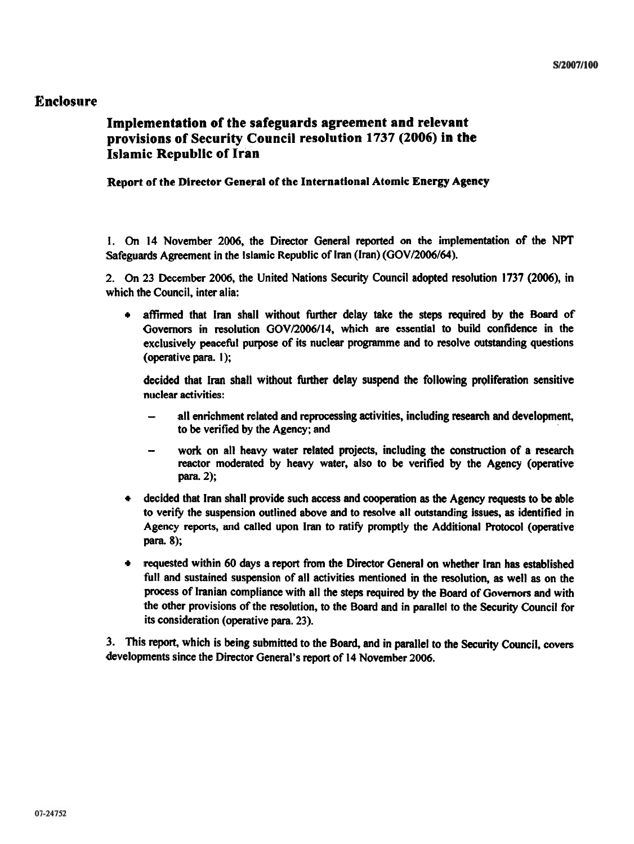#### **Enclosure**

#### **Implementation of the safeguards agreement and relevant provisions of Security Council resolution 1737 (2006) in the Islamic Republic of Iran**

#### Report of the Director General of the International Atomic Energy Agency

1. **On** 14 November 2006, the Director General repcnted on the implementation of the NPT Safeguards Agreement in the Islamic Republic of lran (Iran) (GOV/2006/64).

2. **On** 23 December 2006, the United Nations Security Council adopted resolution 1737 **(2006),** in which the Council, inter alia:

affirmed that lran shall without further delay take the steps required by the Board of  $\bullet$ Governors in resolution **GOV/2006/14,** which are essential **to** build confidence in the exclusively peaceful purpose of its nuclear programme and to resolve outstanding questions (operative para. I);

decided that Iran shall without further delay suspend the following proliferation sensitive nuclear activities:

- all enrichment related and reprocessing activities, including research and development, to be verified by the Agency; and
- work on all heavy water related projects, including the construction of a research reactor moderated by heavy water, also to be verified by the Agency (operative para. **2);**
- decided that lran shall provide such access and cooperation **as** the Agency requests to **be** able to verify the suspension outlined above and to resolve all outstanding issues, **as** identified in Agency reports, and called upon lran to ratify promptly the Additional Protocol (operative para. 8);
- requested within 60 days a report from the Director General on whether lran **has** established full and sustained suspension of all activities mentioned in the resolution, as well **as** on the process of Iranian compliance with all the steps required by the Board of Governors and with the other provisions of the resolution, to the Board and in parallel to the Security Council for its consideration (operative para. 23).

3. This report, which is being submitted to the Board, and in parallel to the **Security** Council, covers developments since the Director General's report of 14 November 2006.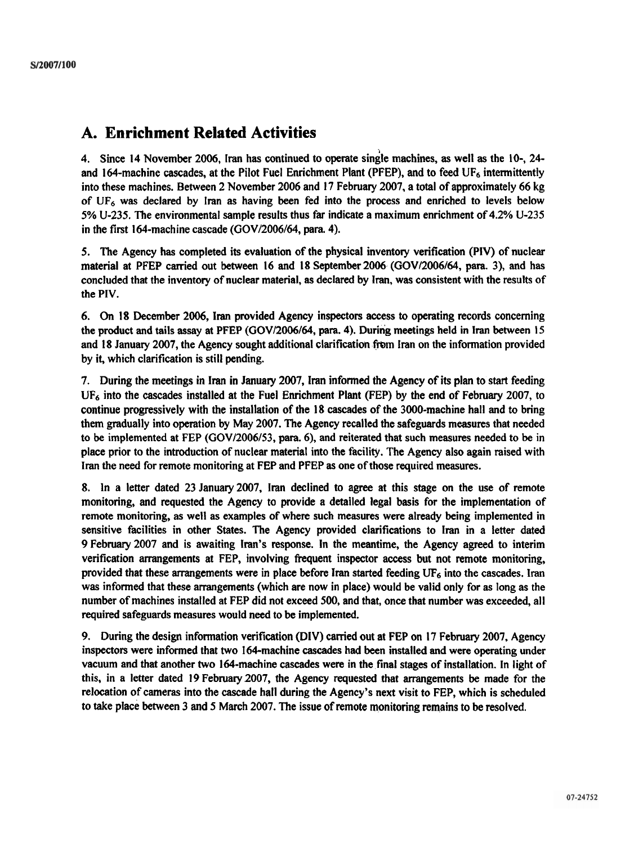## **A. Enrichment Related Activities**

4. Since 14 November 2006, Iran has continued to operate single machines, as well as the 10-, 24and 164-machine cascades, at the Pilot Fuel Enrichment Plant (PFEP), and to feed UF<sub>6</sub> intermittently into these machines. Between 2 November 2006 and 17 February 2007, a total of approximately 66 kg of **UF6** was declared by lran as having been fed into the process and enriched to levels below 5% U-235. The environmental sample results thus far indicate a maximum enrichment of 4.2% U-235 in the first 164-machine cascade  $(GOV/2006/64,$  para. 4).

5. The Agency has completed its evaluation of the physical inventory verification (PIV) of nuclear material at PFEP carried out between 16 and 18 September 2006 (GOV/2006/64, para. 3), and has concluded that the inventory of nuclear material, as declared by Iran, was consistent with the results of the PIV.

6. On 18 December 2006, lran provided Agency inspectors access to operating records concerning the product and tails assay at PFEP (GOV/2006/64, para. 4). During meetings held in Iran between 15 and 18 January 2007, the Agency sought additional clarification frbm Iran on the information provided by it, which clarification is still pending.

7. During the meetings in Iran in January 2007, Iran informed the Agency of its plan to start feeding  $UF<sub>6</sub>$  into the cascades installed at the Fuel Enrichment Plant (FEP) by the end of February 2007, to continue progressively with the installation of the 18 cascades of the 3000-machine hall and to bring them gradually into operation by May 2007. The Agency recalled the safeguards measures that needed to be implemented at FEP (GOV/2006/53, para. 6), and reiterated that such measures needed to be in place prior to the introduction of nuclear material into the facility. The Agency also again raised with Iran the need for remote monitoring at FEP and PFEP as one of those required measures.

8. In a letter dated 23 January 2007, lran declined to agree at this stage on the use of remote monitoring, and requested the Agency to provide a detailed legal basis for the implementation of remote monitoring, as well as examples of where such measures were already being implemented in sensitive facilities in other States. The Agency provided clarifications to Iran in a letter dated 9 February 2007 and is awaiting Iran's response. In the meantime, the Agency agreed to interim verification arrangements at FEP, involving frequent inspector access but not remote monitoring, provided that these arrangements were in place before lran started feeding **UF6** into the cascades. Iran was informed that these arrangements (which are now in place) would be valid only for as long as the number of machines installed at FEP did not exceed 500, and that, once that number was exceeded, all required safeguards measures would need to be implemented.

9. During the design information verification (DIV) carried out at FEP on 17 February 2007, Agency inspectors were informed that two 164-machine cascades had been installed and were operating under vacuum and that another two 164-machine cascades were in the final stages of installation. In light of this, in a letter dated 19 February2007, the Agency requested that arrangements be made for the relocation of cameras into the cascade hall during the Agency's next visit to FEP, which is scheduled to take place between 3 and 5 March 2007. The issue of remote monitoring remains to be resolved.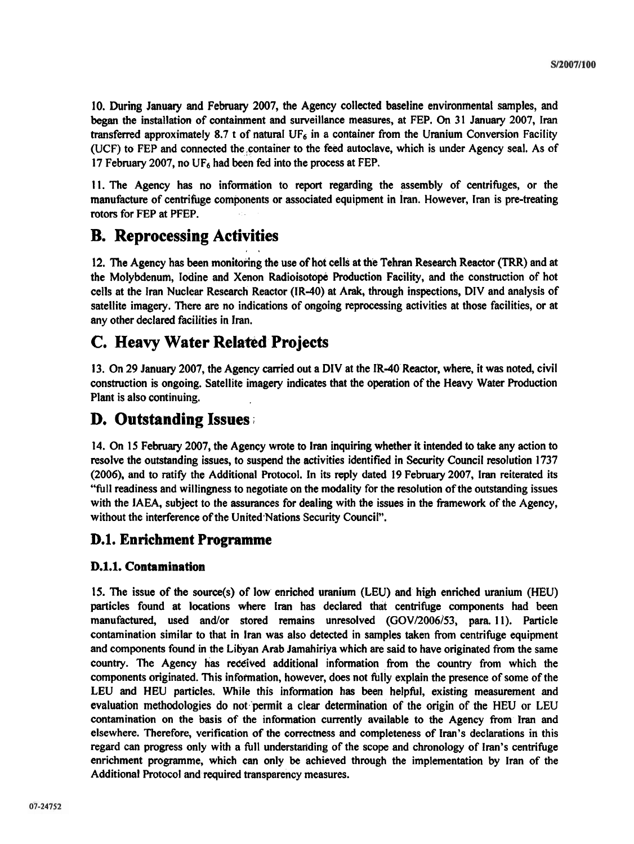10. During January and February 2007, the Agency collected baseline environmental samples, and began the installation of containment and surveillance measures, at FEP. On 31 January 2007, Iran transferred approximately 8.7 t of natural  $UF<sub>6</sub>$  in a container from the Uranium Conversion Facility (UCF) to FEP and connected the,container to the feed autoclave, which is under Agency seal. As of 17 February 2007, no  $UF_6$  had been fed into the process at FEP.

11. The Agency has no information to report regarding the assembly of centrifuges, or the manufacture of centrifuge components or associated equipment in Iran. However, lran is pre-treating rotors for FEP at PFEP.

# **B. Reprocessing Activities**

12. The Agency has been monitoring the use of hot cells at the Tehran Research Reactor **(TRR)** and at the Molybdenum, Iodine and Xenon Radioisotope Production Facility, and the construction of hot cells at the lran Nuclear Research Reactor (IR-40) at Arak, through inspections, DIV and analysis of satellite imagery. There are no indications of ongoing reprocessing activities at those facilities, or at any other declared facilities in Iran.

# **C. Heavy Water Related Projects**

13. On 29 January 2007, the Agency carried out a DIV at the IR-40 Reactor, where, it was noted, civil construction is ongoing. Satellite imagery indicates that the operation of the Heavy Water Production Plant is also continuing.

# **D. Outstanding Issues** ;

14. On 15 February 2007, the Agency wrote to lran inquiring whether it intended to take any action to resolve the outstanding issues, to suspend the activities identified in Security Council resolution 1737 (2006), and to ratify the Additional Protocol. In its reply dated 19 February 2007, Iran reiterated its "full readiness and willingness to negotiate on the modality for the resolution of the outstanding issues with the IAEA, subject to the assurances for dealing with the issues in the framework of the Agency, without the interference of the United Nations Security Council".

## **D.1. Enrichment Programme**

#### **D.1.1. Contamination**

15. The issue of the source(s) of low enriched uranium (LEU) and high enriched uranium (HEU) particles found at locations where Iran has declared that centrifuge components had been manufactured, used and/or stored remains unresolved (GOV/2006/53, para. 11). Particle contamination similar to that in lran was also detected in samples taken fiom centrifuge equipment and components found in the Libyan Arab Jamahiriya which are said to have originated fiom the same country. The Agency has received additional information from the country from which the components originated. This information, however, does not fully explain the presence of some of the LEU and HEU particles. While this information has been helpful, existing measurement and evaluation methodologies do not 'permit a clear determination of the origin of the **HEU** or LEU contamination on the basis of the information currently available to the Agency from Iran and elsewhere. Therefore, verification of the correcmess and completeness of Iran's declarations in this regard can progress only with a full understatiding of the scope and chronology of Iran's centrifuge enrichment programme, which can only be achieved through the implementation by Iran of the Additional Protocol and required transparency measures.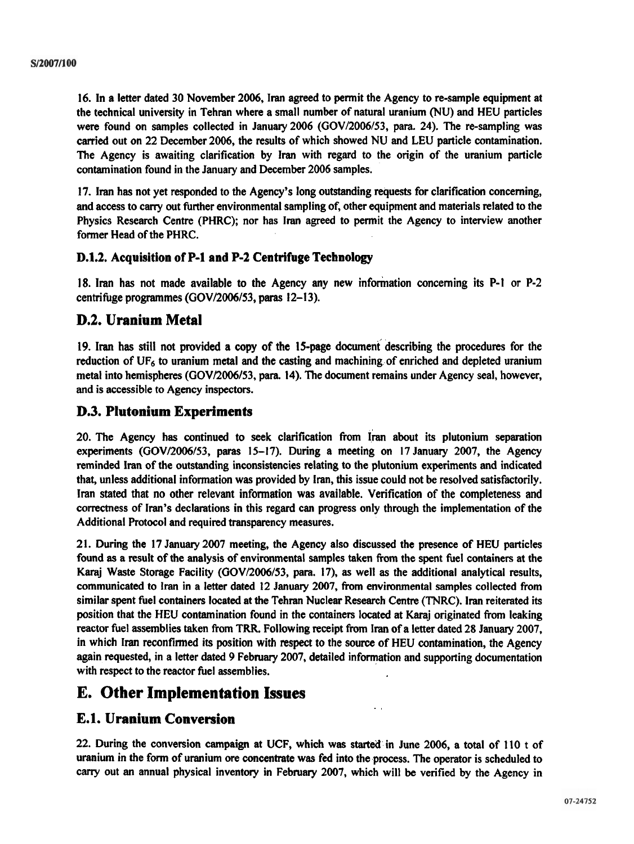16. In a letter dated 30 November 2006, Iran agreed to permit the Agency to re-sample equipment at the technical university in Tehran where a small number of natural uranium (NU) and HEU particles were found on samples collected in January 2006 (GOV/2006/53, para. 24). The re-sampling was carried out on 22 December 2006, the results of which showed NU and LEU particle contamination. The Agency is awaiting clarification by Iran with regard to the origin of the uranium particle contamination found in the January and December 2006 samples.

17. Iran has not yet responded to the Agency's long outstanding requests for clarification concerning, and access to cany out further environmental sampling of, other equipment and materials related to the Physics Research Centre (PHRC); nor has lran agreed to permit the Agency to interview another former Head of the PHRC.

#### **D.1.2. Acquisition of P-1 and P-2 Centrifuge Technology**

18. lran has not made available to the Agency any new inforination concerning its P-1 or P-2 centrifuge programmes (GOV/2006/53, paras 12-13).

#### **D.2. Uranium Metal**

19. Iran has still not provided a copy of the 15-page document describing the procedures for the reduction of  $UF_6$  to uranium metal and the casting and machining of enriched and depleted uranium metal into hemispheres (GOV/2006/53, para. 14). The document remains under Agency seal, however, and is accessible to Agency inspectors.

#### **D.3. Plutonium Experiments**

20. The Agency has continued to seek clarification from Iran about its plutonium separation experiments (GOV/2006/53, paras 15-17). During a meeting on 17 January 2007, the Agency reminded lran of the outstanding inconsistencies relating to the plutonium experiments and indicated that, unless additional information was provided by Iran, this issue could not **be** resolved satisfactorily. Iran stated that no other relevant information was available. Verification of the completeness and correctness of Iran's declarations in this regard can progress only through the implementation of the Additional Protocol and required transparency measures.

2 1. During the 17 January 2007 meeting, the Agency also discussed the presence of HEU particles found as a result of the analysis of environmental samples taken from the spent fuel containers at the **Karaj** Waste Storage Facility (GOV/2006/53, para. 17), as well as the additional analytical results, communicated to lran in a letter dated 12 January 2007, from environmental samples collected from similar spent fuel containers located at the Tehran Nuclear Research Centre (TNRC). Iran reiterated its position that the HEU contamination found in the containers located at **Karaj** originated from leaking reactor fuel assemblies taken from **TRR.** Following receipt **from** lran of a letter dated 28 January 2007, in which Iran reconfirmed its position with respect to the source of HEU contamination, the Agency again requested, in a letter dated 9 February 2007, detailed information and supporting documentation with respect to the reactor fuel assemblies.

# **E. Other Implementation Issues**

#### **E.1. Uranium Conversion**

22. During the conversion campaign at UCF, which was started in June 2006, a total of 110 t of uranium in the form of uranium ore concentrate was fed into the process. The operator is scheduled to carry out an annual physical inventory in February 2007, which will be verified by the Agency in

. .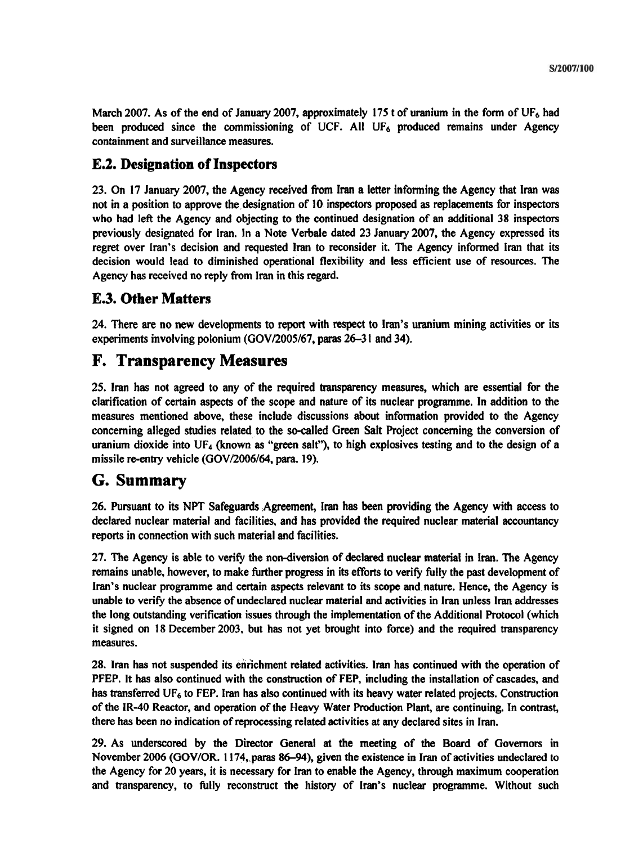March 2007. As of the end of January 2007, approximately 175 t of uranium in the form of **UF6** had been produced since the commissioning of UCF. All UF<sub>6</sub> produced remains under Agency containment and surveillance measures.

### **E.2. Designation of Inspectors**

23. On 17 January 2007, the Agency received from lran a letter informing the Agency that lran was not in a position to approve the designation of 10 inspectors proposed as replacements for inspectors who had left the Agency and objecting to the continued designation of an additional 38 inspectors previously designated for Iran. In a Note Verbale dated 23 January 2007, the Agency expressed its regret over Iran's decision and requested lran to reconsider it. The Agency informed lran that its decision would lead to diminished operational flexibility and less efficient use of resources. The Agency has received no reply from Iran in this regard.

### **E.3. Other Matters**

24. There are no new developments to report with respect to Iran's uranium mining activities or its experiments involving polonium (GOV/2005/67, paras 26-3 **1** and 34).

## **F. Transparency Measures**

25. Iran has not agreed to any of the required transparency measures, which are essential for the clarification of certain aspects of the scope and nature of its nuclear programme. In addition to the measures mentioned above, these include discussions about information provided to the Agency concerning alleged studies related to the so-called Green Salt Project concerning the conversion of uranium dioxide into UF<sub>4</sub> (known as "green salt"), to high explosives testing and to the design of a missile re-entry vehicle (GOV/2006/64, para. 19).

## **G. Summary**

26. Pursuant to its NPT Safeguards .Agreement, Iran has been providing the Agency with access to declared nuclear material and facilities, and has provided the required nuclear material accountancy reports in connection with such material and facilities.

27. The Agency is able to verify the non-diversion of declared nuclear material in Iran. The Agency remains unable, however, to make further progress in its efforts to verify fully the past development of Iran's nuclear programme and certain aspects relevant to its scope and nature. Hence, the Agency is unable to verify the absence of undeclared nuclear material and activities in Iran unless lran addresses the long outstanding verification issues through the implementation of the Additional Protocol (which it signed on 18 December 2003, but has not yet brought into force) and the required transparency measures.

28. Iran has not suspended its enrichment related activities. lran has continued with the operation of PFEP. It has also continued with the construction of FEP, including the installation of cascades, and has transferred UF<sub>6</sub> to FEP. Iran has also continued with its heavy water related projects. Construction of the IR-40 Reactor, and operation of the Heavy Water Production Plant, are continuing. In contrast, there has been no indication of reprocessing related activities at any declared sites in Iran.

29. As underscored by the Director General at the meeting of the Board of Governors in November 2006 (GOV/OR. 1174, paras 86–94), given the existence in Iran of activities undeclared to the Agency for 20 years, it is necessary for Iran to enable the Agency, through maximum cooperation and transparency, to fully reconstruct the history of Iran's nuclear programme. Without such